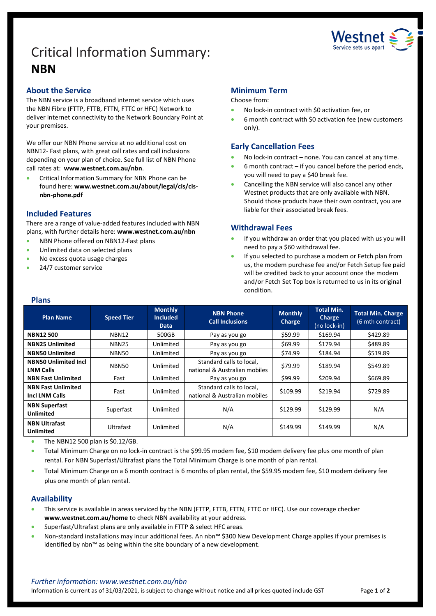# Critical Information Summary: **NBN**



## **About the Service**

The NBN service is a broadband internet service which uses the NBN Fibre (FTTP, FTTB, FTTN, FTTC or HFC) Network to deliver internet connectivity to the Network Boundary Point at your premises.

We offer our NBN Phone service at no additional cost on NBN12- Fast plans, with great call rates and call inclusions depending on your plan of choice. See full list of NBN Phone call rates at: **www.westnet.com.au/nbn**.

• Critical Information Summary for NBN Phone can be found here: **www.westnet.com.au/about/legal/cis/cisnbn-phone.pdf**

## **Included Features**

There are a range of value-added features included with NBN plans, with further details here: **www.westnet.com.au/nbn**

- NBN Phone offered on NBN12-Fast plans
- Unlimited data on selected plans
- No excess quota usage charges
- 24/7 customer service

## **Minimum Term**

#### Choose from:

- No lock-in contract with \$0 activation fee, or
- 6 month contract with \$0 activation fee (new customers only).

## **Early Cancellation Fees**

- No lock-in contract none. You can cancel at any time.
- $6$  month contract if you cancel before the period ends, you will need to pay a \$40 break fee.
- Cancelling the NBN service will also cancel any other Westnet products that are only available with NBN. Should those products have their own contract, you are liable for their associated break fees.

## **Withdrawal Fees**

- If you withdraw an order that you placed with us you will need to pay a \$60 withdrawal fee.
- If you selected to purchase a modem or Fetch plan from us, the modem purchase fee and/or Fetch Setup fee paid will be credited back to your account once the modem and/or Fetch Set Top box is returned to us in its original condition.

#### **Plans**

| <b>Plan Name</b>                                   | <b>Speed Tier</b> | <b>Monthly</b><br><b>Included</b><br>Data | <b>NBN Phone</b><br><b>Call Inclusions</b>                | <b>Monthly</b><br>Charge | <b>Total Min.</b><br><b>Charge</b><br>(no lock-in) | <b>Total Min. Charge</b><br>(6 mth contract) |
|----------------------------------------------------|-------------------|-------------------------------------------|-----------------------------------------------------------|--------------------------|----------------------------------------------------|----------------------------------------------|
| <b>NBN12500</b>                                    | <b>NBN12</b>      | 500GB                                     | Pay as you go                                             | \$59.99                  | \$169.94                                           | \$429.89                                     |
| <b>NBN25 Unlimited</b>                             | NBN <sub>25</sub> | Unlimited                                 | Pay as you go                                             | \$69.99                  | \$179.94                                           | \$489.89                                     |
| <b>NBN50 Unlimited</b>                             | NBN50             | Unlimited                                 | Pay as you go                                             | \$74.99                  | \$184.94                                           | \$519.89                                     |
| <b>NBN50 Unlimited Incl</b><br><b>LNM Calls</b>    | <b>NBN50</b>      | Unlimited                                 | Standard calls to local,<br>national & Australian mobiles | \$79.99                  | \$189.94                                           | \$549.89                                     |
| <b>NBN Fast Unlimited</b>                          | Fast              | Unlimited                                 | Pay as you go                                             | \$99.99                  | \$209.94                                           | \$669.89                                     |
| <b>NBN Fast Unlimited</b><br><b>Incl LNM Calls</b> | Fast              | Unlimited                                 | Standard calls to local,<br>national & Australian mobiles | \$109.99                 | \$219.94                                           | \$729.89                                     |
| <b>NBN Superfast</b><br>Unlimited                  | Superfast         | Unlimited                                 | N/A                                                       | \$129.99                 | \$129.99                                           | N/A                                          |
| <b>NBN Ultrafast</b><br><b>Unlimited</b>           | Ultrafast         | Unlimited                                 | N/A                                                       | \$149.99                 | \$149.99                                           | N/A                                          |

• The NBN12 500 plan is \$0.12/GB.

• Total Minimum Charge on no lock-in contract is the \$99.95 modem fee, \$10 modem delivery fee plus one month of plan rental. For NBN Superfast/Ultrafast plans the Total Minimum Charge is one month of plan rental.

• Total Minimum Charge on a 6 month contract is 6 months of plan rental, the \$59.95 modem fee, \$10 modem delivery fee plus one month of plan rental.

## **Availability**

- This service is available in areas serviced by the NBN (FTTP, FTTB, FTTN, FTTC or HFC). Use ou[r coverage checker](https://www.westnet.com.au/internet-products/broadband/nbn/coverage/) **[www.westnet.com.au/home](http://www.westnet.com.au/home)** to check NBN availability at your address.
- Superfast/Ultrafast plans are only available in FTTP & select HFC areas.
- Non-standard installations may incur additional fees. An nbn™ \$300 New Development Charge applies if your premises is identified by nbn™ as being within the site boundary of a new development.

#### *Further information: www.westnet.com.au/nbn*

Information is current as of 31/03/2021, is subject to change without notice and all prices quoted include GST Page **1** of **2**